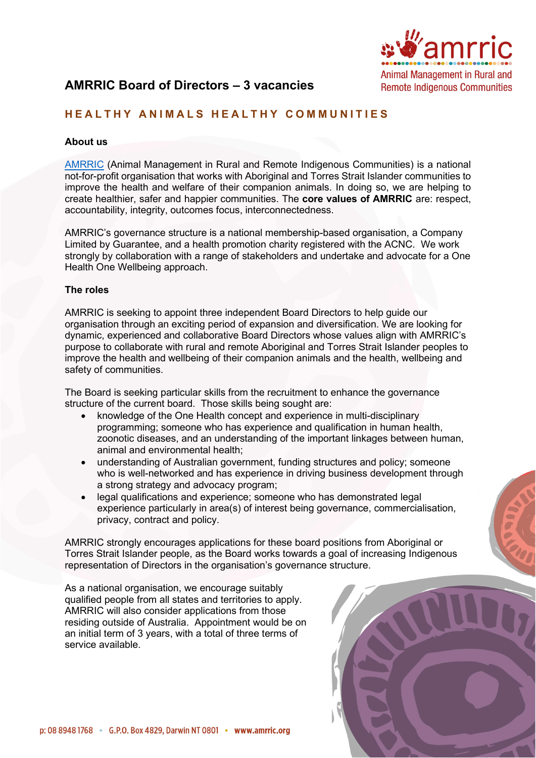

# **AMRRIC Board of Directors – 3 vacancies**

## **HEALTHY ANIMALS HEALTHY COMMUNITIES**

#### **About us**

[AMRRIC](https://www.amrric.org/) (Animal Management in Rural and Remote Indigenous Communities) is a national not-for-profit organisation that works with Aboriginal and Torres Strait Islander communities to improve the health and welfare of their companion animals. In doing so, we are helping to create healthier, safer and happier communities. The **core values of AMRRIC** are: respect, accountability, integrity, outcomes focus, interconnectedness.

AMRRIC's governance structure is a national membership-based organisation, a Company Limited by Guarantee, and a health promotion charity registered with the ACNC. We work strongly by collaboration with a range of stakeholders and undertake and advocate for a One Health One Wellbeing approach.

#### **The roles**

AMRRIC is seeking to appoint three independent Board Directors to help guide our organisation through an exciting period of expansion and diversification. We are looking for dynamic, experienced and collaborative Board Directors whose values align with AMRRIC's purpose to collaborate with rural and remote Aboriginal and Torres Strait Islander peoples to improve the health and wellbeing of their companion animals and the health, wellbeing and safety of communities.

The Board is seeking particular skills from the recruitment to enhance the governance structure of the current board. Those skills being sought are:

- knowledge of the One Health concept and experience in multi-disciplinary programming; someone who has experience and qualification in human health, zoonotic diseases, and an understanding of the important linkages between human, animal and environmental health;
- understanding of Australian government, funding structures and policy; someone who is well-networked and has experience in driving business development through a strong strategy and advocacy program;
- legal qualifications and experience; someone who has demonstrated legal experience particularly in area(s) of interest being governance, commercialisation, privacy, contract and policy.

AMRRIC strongly encourages applications for these board positions from Aboriginal or Torres Strait Islander people, as the Board works towards a goal of increasing Indigenous representation of Directors in the organisation's governance structure.

As a national organisation, we encourage suitably qualified people from all states and territories to apply. AMRRIC will also consider applications from those residing outside of Australia. Appointment would be on an initial term of 3 years, with a total of three terms of service available.